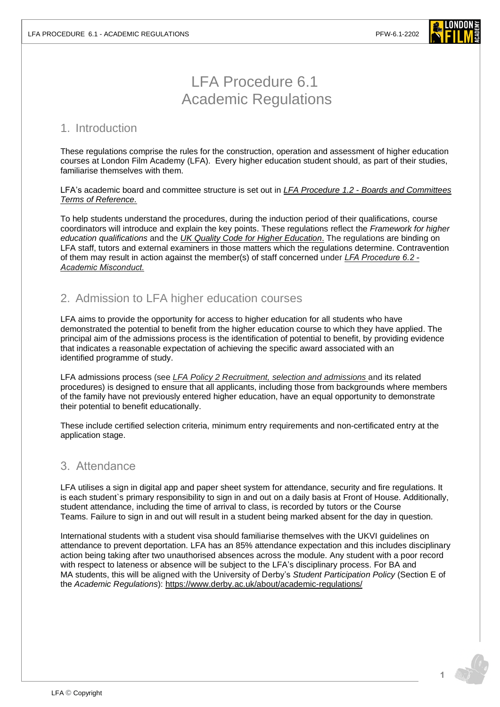

# LFA Procedure 6.1 Academic Regulations

#### 1. Introduction

These regulations comprise the rules for the construction, operation and assessment of higher education courses at London Film Academy (LFA). Every higher education student should, as part of their studies, familiarise themselves with them.

LFA's academic board and committee structure is set out in *LFA Procedure 1.2 - [Boards and Committees](https://www.londonfilmacademy.com/LFA_Procedure_1.2_Board_and_Committees_Terms_of_Reference.pdf)  [Terms of Reference.](https://www.londonfilmacademy.com/LFA_Procedure_1.2_Board_and_Committees_Terms_of_Reference.pdf)*

To help students understand the procedures, during the induction period of their qualifications, course coordinators will introduce and explain the key points. These regulations reflect the *[Framework for higher](https://www.qaa.ac.uk/docs/qaa/quality-code/qualifications-frameworks.pdf)  [education qualifications](https://www.qaa.ac.uk/docs/qaa/quality-code/qualifications-frameworks.pdf)* and the *[UK Quality Code](https://www.qaa.ac.uk/quality-code) for Higher Education*. The regulations are binding on LFA staff, tutors and external examiners in those matters which the regulations determine. Contravention of them may result in action against the member(s) of staff concerned under *[LFA Procedure](https://www.londonfilmacademy.com/LFA_Procedure_6.2_Academic_misconduct.pdf) 6.2 - Academic [Misconduct.](https://www.londonfilmacademy.com/LFA_Procedure_6.2_Academic_misconduct.pdf)*

# 2. Admission to LFA higher education courses

LFA aims to provide the opportunity for access to higher education for all students who have demonstrated the potential to benefit from the higher education course to which they have applied. The principal aim of the admissions process is the identification of potential to benefit, by providing evidence that indicates a reasonable expectation of achieving the specific award associated with an identified programme of study.

LFA admissions process (see *LFA Policy 2 [Recruitment, selection and](https://www.londonfilmacademy.com/LFA_Procedure_2.1_Recruitment_and_selection_process.pdf) admissions* and its related procedures) is designed to ensure that all applicants, including those from backgrounds where members of the family have not previously entered higher education, have an equal opportunity to demonstrate their potential to benefit educationally.

These include certified selection criteria, minimum entry requirements and non-certificated entry at the application stage.

## 3. Attendance

LFA utilises a sign in digital app and paper sheet system for attendance, security and fire regulations. It is each student`s primary responsibility to sign in and out on a daily basis at Front of House. Additionally, student attendance, including the time of arrival to class, is recorded by tutors or the Course Teams. Failure to sign in and out will result in a student being marked absent for the day in question.

International students with a student visa should familiarise themselves with the UKVI guidelines on attendance to prevent deportation. LFA has an 85% attendance expectation and this includes disciplinary action being taking after two unauthorised absences across the module. Any student with a poor record with respect to lateness or absence will be subject to the LFA's disciplinary process. For BA and MA students, this will be aligned with the University of Derby's *Student Participation Policy* (Section E of the *Academic Regulations*): <https://www.derby.ac.uk/about/academic-regulations/>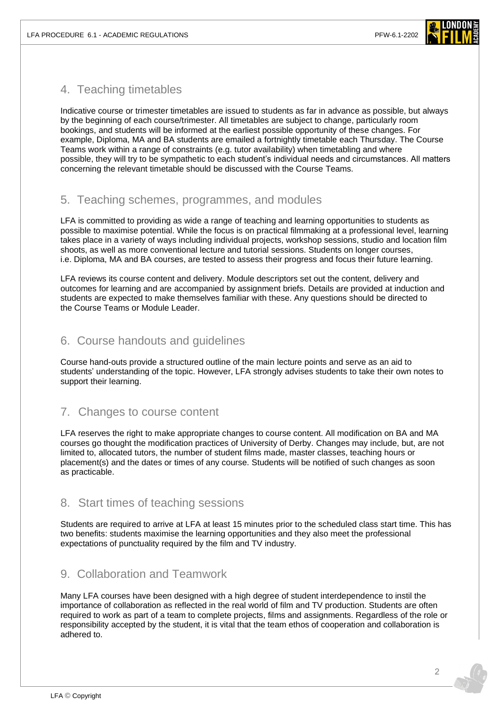

## 4. Teaching timetables

Indicative course or trimester timetables are issued to students as far in advance as possible, but always by the beginning of each course/trimester. All timetables are subject to change, particularly room bookings, and students will be informed at the earliest possible opportunity of these changes. For example, Diploma, MA and BA students are emailed a fortnightly timetable each Thursday. The Course Teams work within a range of constraints (e.g. tutor availability) when timetabling and where possible, they will try to be sympathetic to each student's individual needs and circumstances. All matters concerning the relevant timetable should be discussed with the Course Teams.

## 5. Teaching schemes, programmes, and modules

LFA is committed to providing as wide a range of teaching and learning opportunities to students as possible to maximise potential. While the focus is on practical filmmaking at a professional level, learning takes place in a variety of ways including individual projects, workshop sessions, studio and location film shoots, as well as more conventional lecture and tutorial sessions. Students on longer courses, i.e. Diploma, MA and BA courses, are tested to assess their progress and focus their future learning.

LFA reviews its course content and delivery. Module descriptors set out the content, delivery and outcomes for learning and are accompanied by assignment briefs. Details are provided at induction and students are expected to make themselves familiar with these. Any questions should be directed to the Course Teams or Module Leader.

## 6. Course handouts and guidelines

Course hand-outs provide a structured outline of the main lecture points and serve as an aid to students' understanding of the topic. However, LFA strongly advises students to take their own notes to support their learning.

# 7. Changes to course content

LFA reserves the right to make appropriate changes to course content. All modification on BA and MA courses go thought the modification practices of University of Derby. Changes may include, but, are not limited to, allocated tutors, the number of student films made, master classes, teaching hours or placement(s) and the dates or times of any course. Students will be notified of such changes as soon as practicable.

## 8. Start times of teaching sessions

Students are required to arrive at LFA at least 15 minutes prior to the scheduled class start time. This has two benefits: students maximise the learning opportunities and they also meet the professional expectations of punctuality required by the film and TV industry.

# 9. Collaboration and Teamwork

Many LFA courses have been designed with a high degree of student interdependence to instil the importance of collaboration as reflected in the real world of film and TV production. Students are often required to work as part of a team to complete projects, films and assignments. Regardless of the role or responsibility accepted by the student, it is vital that the team ethos of cooperation and collaboration is adhered to.